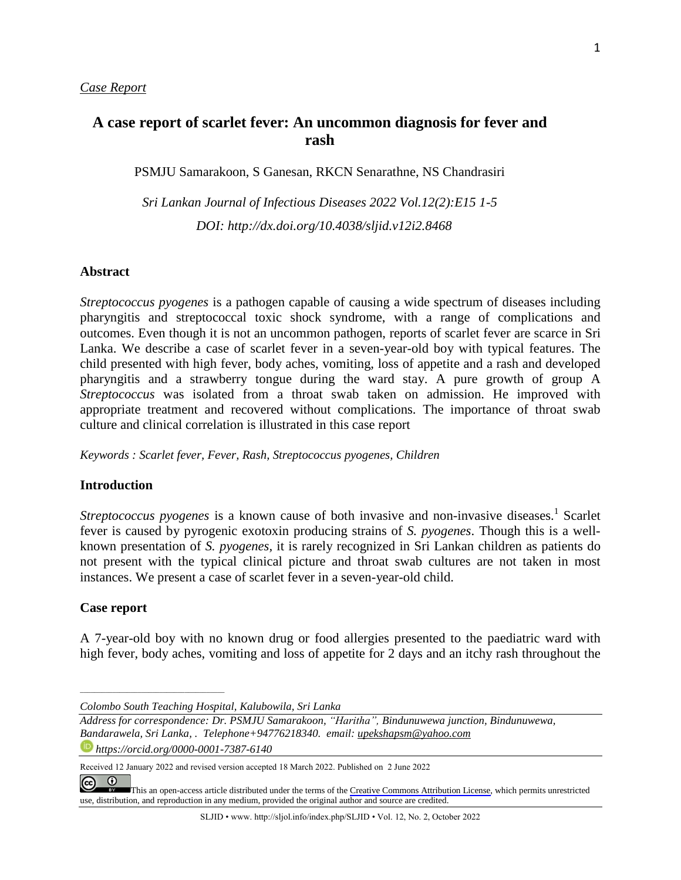# **A case report of scarlet fever: An uncommon diagnosis for fever and rash**

PSMJU Samarakoon, S Ganesan, RKCN Senarathne, NS Chandrasiri

*Sri Lankan Journal of Infectious Diseases 2022 Vol.12(2):E15 1-5 DOI: [http://dx.doi.org/1](about:blank)0.4038/sljid.v12i2.8468*

#### **Abstract**

*Streptococcus pyogenes* is a pathogen capable of causing a wide spectrum of diseases including pharyngitis and streptococcal toxic shock syndrome, with a range of complications and outcomes. Even though it is not an uncommon pathogen, reports of scarlet fever are scarce in Sri Lanka. We describe a case of scarlet fever in a seven-year-old boy with typical features. The child presented with high fever, body aches, vomiting, loss of appetite and a rash and developed pharyngitis and a strawberry tongue during the ward stay. A pure growth of group A *Streptococcus* was isolated from a throat swab taken on admission. He improved with appropriate treatment and recovered without complications. The importance of throat swab culture and clinical correlation is illustrated in this case report

*Keywords : Scarlet fever, Fever, Rash, Streptococcus pyogenes, Children*

#### **Introduction**

Streptococcus pyogenes is a known cause of both invasive and non-invasive diseases.<sup>1</sup> Scarlet fever is caused by pyrogenic exotoxin producing strains of *S. pyogenes*. Though this is a wellknown presentation of *S. pyogenes,* it is rarely recognized in Sri Lankan children as patients do not present with the typical clinical picture and throat swab cultures are not taken in most instances. We present a case of scarlet fever in a seven-year-old child.

#### **Case report**

*\_\_\_\_\_\_\_\_\_\_\_\_\_\_\_\_\_\_\_\_\_\_\_\_\_\_\_\_\_\_\_\_\_\_\_\_\_\_\_\_*

A 7-year-old boy with no known drug or food allergies presented to the paediatric ward with high fever, body aches, vomiting and loss of appetite for 2 days and an itchy rash throughout the

*Colombo South Teaching Hospital, Kalubowila, Sri Lanka*

*Address for correspondence: Dr. PSMJU Samarakoon, "Haritha", Bindunuwewa junction, Bindunuwewa, Bandarawela, Sri Lanka, . Telephone+94776218340. email: upekshapsm@yahoo.com https://orcid.org/0000-0001-7387-6140*

Received 12 January 2022 and revised version accepted 18 March 2022. Published on 2 June 2022

 $\overline{0}$  $\left($ [T](https://creativecommons.org/licenses/by/4.0/)his an open-access article distributed under the terms of the Creative Commons [Attribution](https://creativecommons.org/licenses/by/4.0/) License, which permits unrestricted use, distribution, and reproduction in any medium, provided the original author and source are credited.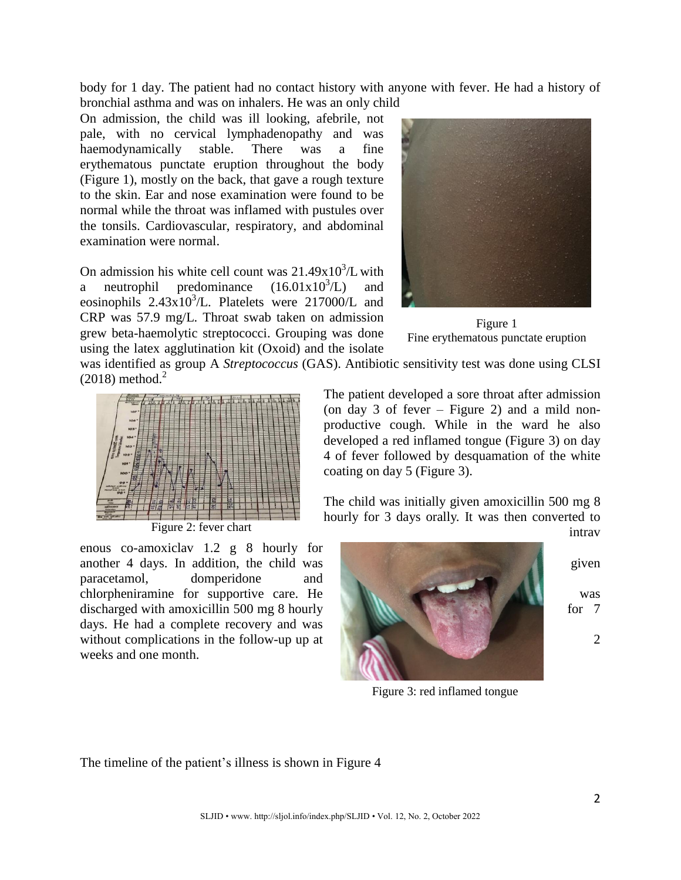body for 1 day. The patient had no contact history with anyone with fever. He had a history of bronchial asthma and was on inhalers. He was an only child

On admission, the child was ill looking, afebrile, not pale, with no cervical lymphadenopathy and was haemodynamically stable. There was a fine erythematous punctate eruption throughout the body (Figure 1), mostly on the back, that gave a rough texture to the skin. Ear and nose examination were found to be normal while the throat was inflamed with pustules over the tonsils. Cardiovascular, respiratory, and abdominal examination were normal.

On admission his white cell count was  $21.49x10^{3}/L$  with a neutrophil predominance  $(16.01x10^3/L)$  and eosinophils  $2.43x10^3$ /L. Platelets were 217000/L and CRP was 57.9 mg/L. Throat swab taken on admission grew beta-haemolytic streptococci. Grouping was done using the latex agglutination kit (Oxoid) and the isolate



Figure 1 Fine erythematous punctate eruption

was identified as group A *Streptococcus* (GAS). Antibiotic sensitivity test was done using CLSI  $(2018)$  method.<sup>2</sup>



Figure 2: fever chart

enous co-amoxiclav 1.2 g 8 hourly for another 4 days. In addition, the child was given paracetamol, domperidone and chlorpheniramine for supportive care. He was was discharged with amoxicillin 500 mg 8 hourly  $\mathbb{R}$   $\mathbb{R}$  for 7 days. He had a complete recovery and was without complications in the follow-up up at  $\qquad \qquad \qquad \qquad 2$ weeks and one month.

The patient developed a sore throat after admission (on day 3 of fever – Figure 2) and a mild nonproductive cough. While in the ward he also developed a red inflamed tongue (Figure 3) on day 4 of fever followed by desquamation of the white coating on day 5 (Figure 3).

The child was initially given amoxicillin 500 mg 8 hourly for 3 days orally. It was then converted to



intrav

Figure 3: red inflamed tongue

The timeline of the patient's illness is shown in Figure 4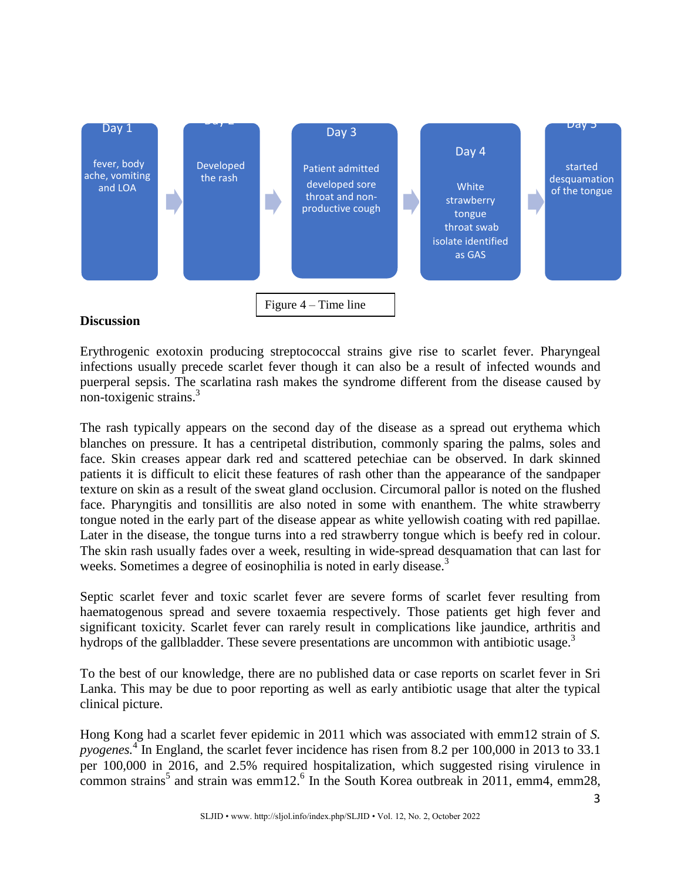

## **Discussion**

Erythrogenic exotoxin producing streptococcal strains give rise to scarlet fever. Pharyngeal infections usually precede scarlet fever though it can also be a result of infected wounds and puerperal sepsis. The scarlatina rash makes the syndrome different from the disease caused by non-toxigenic strains.<sup>3</sup>

The rash typically appears on the second day of the disease as a spread out erythema which blanches on pressure. It has a centripetal distribution, commonly sparing the palms, soles and face. Skin creases appear dark red and scattered petechiae can be observed. In dark skinned patients it is difficult to elicit these features of rash other than the appearance of the sandpaper texture on skin as a result of the sweat gland occlusion. Circumoral pallor is noted on the flushed face. Pharyngitis and tonsillitis are also noted in some with enanthem. The white strawberry tongue noted in the early part of the disease appear as white yellowish coating with red papillae. Later in the disease, the tongue turns into a red strawberry tongue which is beefy red in colour. The skin rash usually fades over a week, resulting in wide-spread desquamation that can last for weeks. Sometimes a degree of eosinophilia is noted in early disease.<sup>3</sup>

Septic scarlet fever and toxic scarlet fever are severe forms of scarlet fever resulting from haematogenous spread and severe toxaemia respectively. Those patients get high fever and significant toxicity. Scarlet fever can rarely result in complications like jaundice, arthritis and hydrops of the gallbladder. These severe presentations are uncommon with antibiotic usage.<sup>3</sup>

To the best of our knowledge, there are no published data or case reports on scarlet fever in Sri Lanka. This may be due to poor reporting as well as early antibiotic usage that alter the typical clinical picture.

Hong Kong had a scarlet fever epidemic in 2011 which was associated with emm12 strain of *S. pyogenes.* 4 In England, the scarlet fever incidence has risen from 8.2 per 100,000 in 2013 to 33.1 per 100,000 in 2016, and 2.5% required hospitalization, which suggested rising virulence in common strains<sup>5</sup> and strain was emm12.<sup>6</sup> In the South Korea outbreak in 2011, emm4, emm28,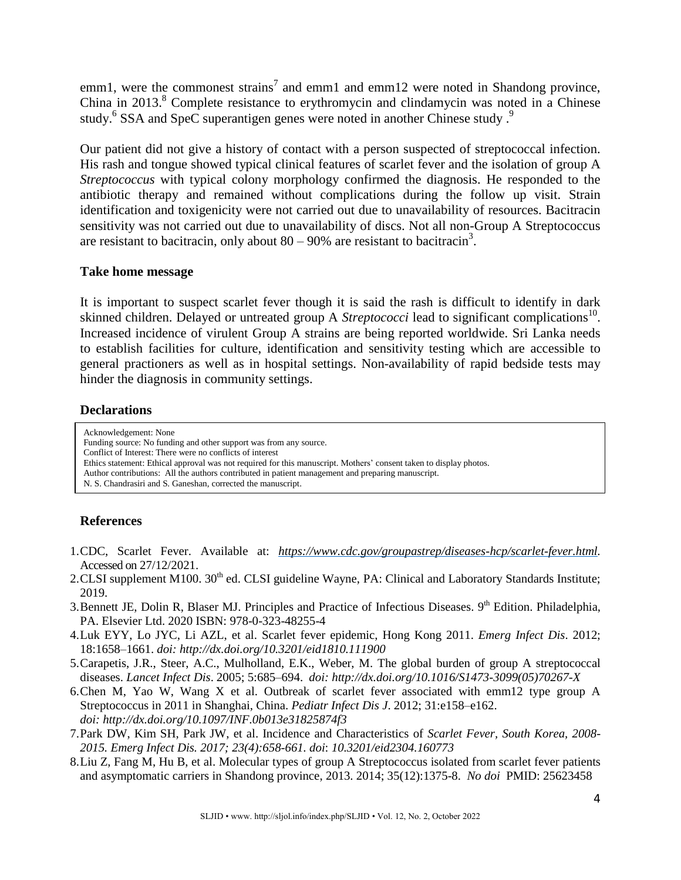emm1, were the commonest strains<sup>7</sup> and emm1 and emm12 were noted in Shandong province, China in 2013.<sup>8</sup> Complete resistance to erythromycin and clindamycin was noted in a Chinese study.<sup>6</sup> SSA and SpeC superantigen genes were noted in another Chinese study.<sup>9</sup>

Our patient did not give a history of contact with a person suspected of streptococcal infection. His rash and tongue showed typical clinical features of scarlet fever and the isolation of group A *Streptococcus* with typical colony morphology confirmed the diagnosis. He responded to the antibiotic therapy and remained without complications during the follow up visit. Strain identification and toxigenicity were not carried out due to unavailability of resources. Bacitracin sensitivity was not carried out due to unavailability of discs. Not all non-Group A Streptococcus are resistant to bacitracin, only about  $80 - 90\%$  are resistant to bacitracin<sup>3</sup>.

### **Take home message**

It is important to suspect scarlet fever though it is said the rash is difficult to identify in dark skinned children. Delayed or untreated group A *Streptococci* lead to significant complications<sup>10</sup>. Increased incidence of virulent Group A strains are being reported worldwide. Sri Lanka needs to establish facilities for culture, identification and sensitivity testing which are accessible to general practioners as well as in hospital settings. Non-availability of rapid bedside tests may hinder the diagnosis in community settings.

## **Declarations**

Acknowledgement: None Funding source: No funding and other support was from any source. Conflict of Interest: There were no conflicts of interest Ethics statement: Ethical approval was not required for this manuscript. Mothers' consent taken to display photos. Author contributions: All the authors contributed in patient management and preparing manuscript. N. S. Chandrasiri and S. Ganeshan, corrected the manuscript.

# **References**

- 1.CDC, Scarlet Fever. Available at: *[https://www.cdc.gov/groupastrep/diseases-hcp/scarlet-fever.html.](https://www.cdc.gov/groupastrep/diseases-hcp/scarlet-fever.html)* Accessed on 27/12/2021.
- 2. CLSI supplement M100.  $30<sup>th</sup>$  ed. CLSI guideline Wayne, PA: Clinical and Laboratory Standards Institute; 2019.
- 3. Bennett JE, Dolin R, Blaser MJ. Principles and Practice of Infectious Diseases. 9<sup>th</sup> Edition. Philadelphia, PA. Elsevier Ltd. 2020 ISBN: 978-0-323-48255-4
- 4.Luk EYY, Lo JYC, Li AZL, et al. Scarlet fever epidemic, Hong Kong 2011. *Emerg Infect Dis*. 2012; 18:1658–1661. *doi: http://dx.doi.org/10.3201/eid1810.111900*
- 5.Carapetis, J.R., Steer, A.C., Mulholland, E.K., Weber, M. The global burden of group A streptococcal diseases. *Lancet Infect Dis*. 2005; 5:685–694. *doi: http://dx.doi.org/10.1016/S1473-3099(05)70267-X*
- 6.Chen M, Yao W, Wang X et al. Outbreak of scarlet fever associated with emm12 type group A Streptococcus in 2011 in Shanghai, China. *Pediatr Infect Dis J*. 2012; 31:e158–e162. *doi: http://dx.doi.org/10.1097/INF.0b013e31825874f3*
- 7.Park DW, Kim SH, Park JW, et al. Incidence and Characteristics of *Scarlet Fever, South Korea, 2008- 2015. Emerg Infect Dis. 2017; 23(4):658-661. doi*: *10.3201/eid2304.160773*
- 8.Liu Z, Fang M, Hu B, et al. Molecular types of group A Streptococcus isolated from scarlet fever patients and asymptomatic carriers in Shandong province, 2013. 2014; 35(12):1375-8. *No doi* PMID: 25623458